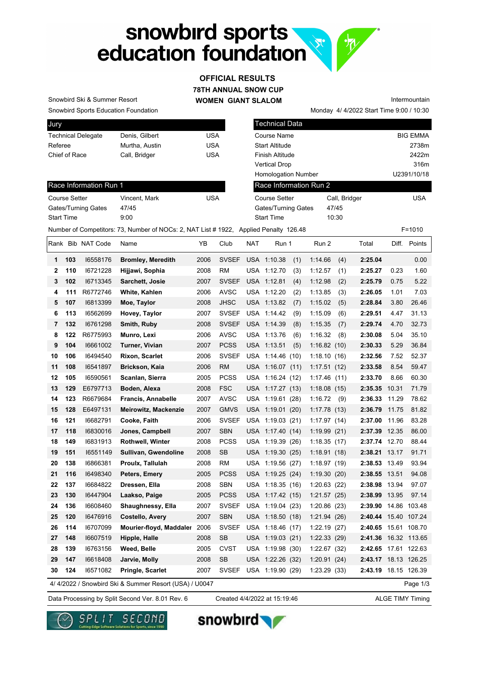## snowbird sports<br>education foundation **R.**



Snowbird Sports Education Foundation Snowbird Ski & Summer Resort

Race Information Run 1

Gates/Turning Gates 47/45 Start Time 9:00

| Jury                      |                |     |
|---------------------------|----------------|-----|
| <b>Technical Delegate</b> | Denis, Gilbert | USA |
| Referee                   | Murtha, Austin | USA |
| Chief of Race             | Call, Bridger  | USA |
|                           |                |     |

Course Setter **Vincent, Mark** USA

| <b>Technical Data</b>      |               |                 |
|----------------------------|---------------|-----------------|
| Course Name                |               | <b>BIG EMMA</b> |
| <b>Start Altitude</b>      |               | 2738m           |
| Finish Altitude            |               | 2422m           |
| Vertical Drop              |               | 316m            |
| <b>Homologation Number</b> |               | U2391/10/18     |
| Race Information Run 2     |               |                 |
| Course Setter              | Call, Bridger | <b>USA</b>      |
| Gates/Turning Gates        | 47/45         |                 |
| <b>Start Time</b>          | 10:30         |                 |

Monday 4/ 4/2022 Start Time 9:00 / 10:30

Intermountain

Number of Competitors: 73, Number of NOCs: 2, NAT List # 1922, Applied Penalty 126.48 F=1010

|              |     | Rank Bib NAT Code | Name                                                  | YΒ   | Club         | <b>NAT</b> | Run 1            |     | Run 2        |     | Total                | Diff. | Points       |
|--------------|-----|-------------------|-------------------------------------------------------|------|--------------|------------|------------------|-----|--------------|-----|----------------------|-------|--------------|
| 1            | 103 | 16558176          | <b>Bromley, Meredith</b>                              | 2006 | <b>SVSEF</b> |            | USA 1:10.38      | (1) | 1:14.66      | (4) | 2:25.04              |       | 0.00         |
| $\mathbf{2}$ | 110 | 16721228          | Hijjawi, Sophia                                       | 2008 | <b>RM</b>    |            | USA 1:12.70      | (3) | 1:12.57      | (1) | 2:25.27              | 0.23  | 1.60         |
| 3            | 102 | 16713345          | Sarchett, Josie                                       | 2007 | <b>SVSEF</b> |            | USA 1:12.81      | (4) | 1:12.98      | (2) | 2:25.79              | 0.75  | 5.22         |
| 4            | 111 | R6772746          | White, Kahlen                                         | 2006 | <b>AVSC</b>  |            | USA 1:12.20      | (2) | 1:13.85      | (3) | 2:26.05              | 1.01  | 7.03         |
| 5            | 107 | 16813399          | Moe, Taylor                                           | 2008 | <b>JHSC</b>  |            | USA 1:13.82      | (7) | 1:15.02      | (5) | 2:28.84              | 3.80  | 26.46        |
| 6            | 113 | 16562699          | Hovey, Taylor                                         | 2007 | <b>SVSEF</b> |            | USA 1:14.42      | (9) | 1:15.09      | (6) | 2:29.51              | 4.47  | 31.13        |
| 7            | 132 | 16761298          | Smith, Ruby                                           | 2008 | <b>SVSEF</b> |            | USA 1:14.39      | (8) | 1:15.35      | (7) | 2:29.74              | 4.70  | 32.73        |
| 8            | 122 | R6775993          | Munro, Lexi                                           | 2006 | <b>AVSC</b>  | USA        | 1:13.76          | (6) | 1:16.32      | (8) | 2:30.08              | 5.04  | 35.10        |
| 9            | 104 | 16661002          | Turner, Vivian                                        | 2007 | <b>PCSS</b>  |            | USA 1:13.51      | (5) | 1:16.82(10)  |     | 2:30.33              | 5.29  | 36.84        |
| 10           | 106 | 16494540          | Rixon, Scarlet                                        | 2006 | <b>SVSEF</b> |            | USA 1:14.46 (10) |     | 1:18.10(16)  |     | 2:32.56              | 7.52  | 52.37        |
| 11           | 108 | 16541897          | Brickson, Kaia                                        | 2006 | <b>RM</b>    |            | USA 1:16.07 (11) |     | 1:17.51(12)  |     | 2:33.58              | 8.54  | 59.47        |
| 12           | 105 | 16590561          | Scanlan, Sierra                                       | 2005 | <b>PCSS</b>  |            | USA 1:16.24 (12) |     | 1:17.46(11)  |     | 2:33.70              | 8.66  | 60.30        |
| 13           | 129 | E6797713          | Boden, Alexa                                          | 2008 | <b>FSC</b>   |            | USA 1:17.27 (13) |     | 1:18.08(15)  |     | 2:35.35              | 10.31 | 71.79        |
| 14           | 123 | R6679684          | <b>Francis, Annabelle</b>                             | 2007 | <b>AVSC</b>  |            | USA 1:19.61 (28) |     | 1:16.72      | (9) | 2:36.33              | 11.29 | 78.62        |
| 15           | 128 | E6497131          | Meirowitz, Mackenzie                                  | 2007 | <b>GMVS</b>  |            | USA 1:19.01 (20) |     | 1:17.78(13)  |     | 2:36.79              | 11.75 | 81.82        |
| 16           | 121 | 16682791          | Cooke, Faith                                          | 2006 | <b>SVSEF</b> |            | USA 1:19.03 (21) |     | 1:17.97(14)  |     | 2:37.00              | 11.96 | 83.28        |
| 17           | 118 | 16830016          | Jones, Campbell                                       | 2007 | <b>SBN</b>   |            | USA 1:17.40 (14) |     | 1:19.99(21)  |     | 2:37.39              | 12.35 | 86.00        |
| 18           | 149 | 16831913          | Rothwell, Winter                                      | 2008 | <b>PCSS</b>  | <b>USA</b> | 1:19.39(26)      |     | 1:18.35(17)  |     | 2:37.74              | 12.70 | 88.44        |
| 19           | 151 | 16551149          | Sullivan, Gwendoline                                  | 2008 | <b>SB</b>    |            | USA 1:19.30 (25) |     | 1:18.91(18)  |     | 2:38.21 13.17        |       | 91.71        |
| 20           | 138 | 16866381          | Proulx, Tallulah                                      | 2008 | <b>RM</b>    |            | USA 1:19.56 (27) |     | 1:18.97(19)  |     | 2:38.53 13.49        |       | 93.94        |
| 21           | 116 | 16498340          | Peters, Emery                                         | 2005 | <b>PCSS</b>  |            | USA 1:19.25 (24) |     | 1:19.30(20)  |     | 2:38.55 13.51        |       | 94.08        |
| 22           | 137 | 16684822          | Dressen, Ella                                         | 2008 | <b>SBN</b>   | USA        | 1:18.35(16)      |     | 1:20.63(22)  |     | 2:38.98              | 13.94 | 97.07        |
| 23           | 130 | 16447904          | Laakso, Paige                                         | 2005 | <b>PCSS</b>  |            | USA 1:17.42 (15) |     | 1:21.57(25)  |     | 2:38.99              | 13.95 | 97.14        |
| 24           | 136 | 16608460          | Shaughnessy, Ella                                     | 2007 | <b>SVSEF</b> |            | USA 1:19.04 (23) |     | 1:20.86(23)  |     | 2:39.90 14.86 103.48 |       |              |
| 25           | 120 | 16476916          | Costello, Avery                                       | 2007 | <b>SBN</b>   |            | USA 1:18.50 (18) |     | 1:21.94(26)  |     | 2:40.44              |       | 15.40 107.24 |
| 26           | 114 | 16707099          | Mourier-floyd, Maddaler 2006                          |      | <b>SVSEF</b> |            | USA 1:18.46 (17) |     | 1:22.19(27)  |     | 2:40.65 15.61 108.70 |       |              |
| 27           | 148 | 16607519          | Hipple, Halle                                         | 2008 | <b>SB</b>    |            | USA 1:19.03 (21) |     | 1:22.33(29)  |     | 2:41.36 16.32 113.65 |       |              |
| 28           | 139 | 16763156          | Weed, Belle                                           | 2005 | <b>CVST</b>  | USA        | 1:19.98(30)      |     | 1:22.67 (32) |     | 2:42.65 17.61 122.63 |       |              |
| 29           | 147 | 16618408          | Jarvie, Molly                                         | 2008 | <b>SB</b>    |            | USA 1:22.26 (32) |     | 1:20.91(24)  |     | 2:43.17 18.13 126.25 |       |              |
| 30           | 124 | 16571082          | Pringle, Scarlet                                      | 2007 | <b>SVSEF</b> |            | USA 1:19.90 (29) |     | 1:23.29 (33) |     | 2:43.19 18.15 126.39 |       |              |
|              |     |                   | 4/4/2022 / Snowbird Ski & Summer Resort (USA) / U0047 |      |              |            |                  |     |              |     |                      |       | Page 1/3     |

Data Processing by Split Second Ver. 8.01 Rev. 6 Created 4/4/2022 at 15:19:46 ALGE TIMY Timing

Created 4/4/2022 at 15:19:46





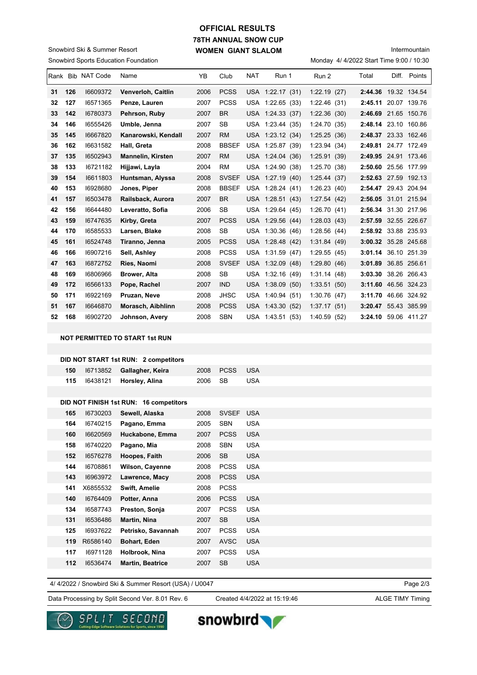## **78TH ANNUAL SNOW CUP WOMEN GIANT SLALOM OFFICIAL RESULTS**

Snowbird Sports Education Foundation Snowbird Ski & Summer Resort

## Intermountain

Monday 4/ 4/2022 Start Time 9:00 / 10:30

|    |     | Rank Bib NAT Code | Name                     | YB   | Club         | <b>NAT</b> | Run 1            | Run 2        | Total                | Diff. | Points       |
|----|-----|-------------------|--------------------------|------|--------------|------------|------------------|--------------|----------------------|-------|--------------|
| 31 | 126 | 16609372          | Venverloh, Caitlin       | 2006 | <b>PCSS</b>  |            | USA 1:22.17 (31) | 1:22.19(27)  | 2:44.36 19.32 134.54 |       |              |
| 32 | 127 | 16571365          | Penze, Lauren            | 2007 | <b>PCSS</b>  | <b>USA</b> | 1:22.65(33)      | 1:22.46(31)  | 2:45.11              |       | 20.07 139.76 |
| 33 | 142 | 16780373          | Pehrson, Ruby            | 2007 | <b>BR</b>    |            | USA 1:24.33 (37) | 1:22.36(30)  | 2:46.69 21.65 150.76 |       |              |
| 34 | 146 | 16555426          | Umble, Jenna             | 2007 | <b>SB</b>    |            | USA 1:23.44 (35) | 1:24.70(35)  | 2:48.14 23.10 160.86 |       |              |
| 35 | 145 | 16667820          | Kanarowski, Kendall      | 2007 | <b>RM</b>    |            | USA 1:23.12 (34) | 1:25.25(36)  | 2:48.37 23.33 162.46 |       |              |
| 36 | 162 | 16631582          | Hall, Greta              | 2008 | <b>BBSEF</b> |            | USA 1:25.87 (39) | 1:23.94(34)  | 2:49.81 24.77 172.49 |       |              |
| 37 | 135 | 16502943          | <b>Mannelin, Kirsten</b> | 2007 | <b>RM</b>    |            | USA 1:24.04 (36) | 1:25.91(39)  | 2:49.95 24.91 173.46 |       |              |
| 38 | 133 | 16721182          | Hijjawi, Layla           | 2004 | <b>RM</b>    |            | USA 1:24.90 (38) | 1:25.70(38)  | 2:50.60 25.56 177.99 |       |              |
| 39 | 154 | 16611803          | Huntsman, Alyssa         | 2008 | <b>SVSEF</b> |            | USA 1:27.19 (40) | 1:25.44(37)  | 2:52.63 27.59 192.13 |       |              |
| 40 | 153 | 16928680          | Jones, Piper             | 2008 | <b>BBSEF</b> |            | USA 1:28.24 (41) | 1:26.23(40)  | 2:54.47 29.43 204.94 |       |              |
| 41 | 157 | 16503478          | Railsback, Aurora        | 2007 | <b>BR</b>    |            | USA 1:28.51 (43) | 1:27.54(42)  | 2:56.05 31.01 215.94 |       |              |
| 42 | 156 | 16644480          | Leveratto, Sofia         | 2006 | SB           |            | USA 1:29.64 (45) | 1:26.70(41)  | 2:56.34 31.30 217.96 |       |              |
| 43 | 159 | 16747635          | Kirby, Greta             | 2007 | <b>PCSS</b>  |            | USA 1:29.56 (44) | 1:28.03(43)  | 2:57.59 32.55 226.67 |       |              |
| 44 | 170 | 16585533          | Larsen, Blake            | 2008 | <b>SB</b>    | <b>USA</b> | 1:30.36(46)      | 1:28.56(44)  | 2:58.92 33.88 235.93 |       |              |
| 45 | 161 | 16524748          | Tiranno, Jenna           | 2005 | <b>PCSS</b>  |            | USA 1:28.48 (42) | 1:31.84(49)  | 3:00.32 35.28 245.68 |       |              |
| 46 | 166 | 16907216          | Sell, Ashley             | 2008 | <b>PCSS</b>  | <b>USA</b> | 1:31.59(47)      | 1:29.55(45)  | 3:01.14              |       | 36.10 251.39 |
| 47 | 163 | 16872752          | Ries, Naomi              | 2008 | <b>SVSEF</b> |            | USA 1:32.09 (48) | 1:29.80(46)  | 3:01.89              |       | 36.85 256.61 |
| 48 | 169 | 16806966          | <b>Brower, Alta</b>      | 2008 | <b>SB</b>    |            | USA 1:32.16 (49) | 1:31.14(48)  | 3:03.30              |       | 38.26 266.43 |
| 49 | 172 | 16566133          | Pope, Rachel             | 2007 | <b>IND</b>   |            | USA 1:38.09 (50) | 1:33.51(50)  | 3:11.60 46.56 324.23 |       |              |
| 50 | 171 | 16922169          | Pruzan, Neve             | 2008 | <b>JHSC</b>  | <b>USA</b> | 1:40.94 (51)     | 1:30.76(47)  | 3:11.70 46.66 324.92 |       |              |
| 51 | 167 | 16646870          | Morasch, Aibhlinn        | 2008 | <b>PCSS</b>  |            | USA 1:43.30 (52) | 1:37.17(51)  | 3:20.47              |       | 55.43 385.99 |
| 52 | 168 | 16902720          | Johnson, Avery           | 2008 | <b>SBN</b>   |            | USA 1:43.51 (53) | 1:40.59 (52) | 3:24.10 59.06 411.27 |       |              |

**NOT PERMITTED TO START 1st RUN**

|     |          | DID NOT START 1st RUN: 2 competitors   |      |              |            |
|-----|----------|----------------------------------------|------|--------------|------------|
| 150 | 16713852 | Gallagher, Keira                       | 2008 | <b>PCSS</b>  | <b>USA</b> |
| 115 | 16438121 | Horsley, Alina                         | 2006 | <b>SB</b>    | <b>USA</b> |
|     |          |                                        |      |              |            |
|     |          | DID NOT FINISH 1st RUN: 16 competitors |      |              |            |
| 165 | 16730203 | Sewell, Alaska                         | 2008 | <b>SVSEF</b> | <b>USA</b> |
| 164 | 16740215 | Pagano, Emma                           | 2005 | <b>SBN</b>   | <b>USA</b> |
| 160 | 16620569 | Huckabone, Emma                        | 2007 | <b>PCSS</b>  | <b>USA</b> |
| 158 | 16740220 | Pagano, Mia                            | 2008 | <b>SBN</b>   | <b>USA</b> |
| 152 | 16576278 | Hoopes, Faith                          | 2006 | <b>SB</b>    | <b>USA</b> |
| 144 | 16708861 | <b>Wilson, Cayenne</b>                 | 2008 | <b>PCSS</b>  | <b>USA</b> |
| 143 | 16963972 | Lawrence, Macy                         | 2008 | <b>PCSS</b>  | <b>USA</b> |
| 141 | X6855532 | <b>Swift, Amelie</b>                   | 2008 | <b>PCSS</b>  |            |
| 140 | 16764409 | Potter, Anna                           | 2006 | <b>PCSS</b>  | <b>USA</b> |
| 134 | 16587743 | Preston, Sonja                         | 2007 | <b>PCSS</b>  | <b>USA</b> |
| 131 | 16536486 | Martin, Nina                           | 2007 | <b>SB</b>    | <b>USA</b> |
| 125 | 16937622 | Petrisko, Savannah                     | 2007 | <b>PCSS</b>  | <b>USA</b> |
| 119 | R6586140 | Bohart, Eden                           | 2007 | <b>AVSC</b>  | <b>USA</b> |
| 117 | 16971128 | Holbrook, Nina                         | 2007 | <b>PCSS</b>  | <b>USA</b> |
| 112 | 16536474 | <b>Martin, Beatrice</b>                | 2007 | <b>SB</b>    | <b>USA</b> |
|     |          |                                        |      |              |            |

4/ 4/2022 / Snowbird Ski & Summer Resort (USA) / U0047

Data Processing by Split Second Ver. 8.01 Rev. 6 Created 4/4/2022 at 15:19:46 ALGE TIMY Timing

Created 4/4/2022 at 15:19:46

Page 2/3